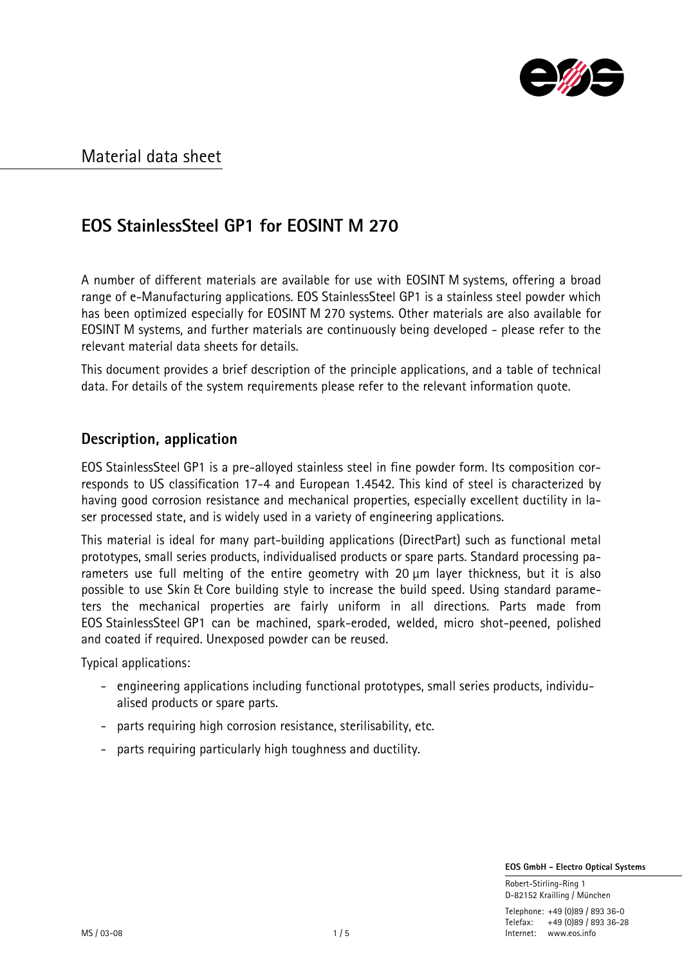

# **EOS StainlessSteel GP1 for EOSINT M 270**

A number of different materials are available for use with EOSINT M systems, offering a broad range of e-Manufacturing applications. EOS StainlessSteel GP1 is a stainless steel powder which has been optimized especially for EOSINT M 270 systems. Other materials are also available for EOSINT M systems, and further materials are continuously being developed - please refer to the relevant material data sheets for details.

This document provides a brief description of the principle applications, and a table of technical data. For details of the system requirements please refer to the relevant information quote.

### **Description, application**

EOS StainlessSteel GP1 is a pre-alloyed stainless steel in fine powder form. Its composition corresponds to US classification 17-4 and European 1.4542. This kind of steel is characterized by having good corrosion resistance and mechanical properties, especially excellent ductility in laser processed state, and is widely used in a variety of engineering applications.

This material is ideal for many part-building applications (DirectPart) such as functional metal prototypes, small series products, individualised products or spare parts. Standard processing parameters use full melting of the entire geometry with 20  $\mu$ m layer thickness, but it is also possible to use Skin & Core building style to increase the build speed. Using standard parameters the mechanical properties are fairly uniform in all directions. Parts made from EOS StainlessSteel GP1 can be machined, spark-eroded, welded, micro shot-peened, polished and coated if required. Unexposed powder can be reused.

Typical applications:

- engineering applications including functional prototypes, small series products, individualised products or spare parts.
- parts requiring high corrosion resistance, sterilisability, etc.
- parts requiring particularly high toughness and ductility.

 **EOS GmbH - Electro Optical Systems**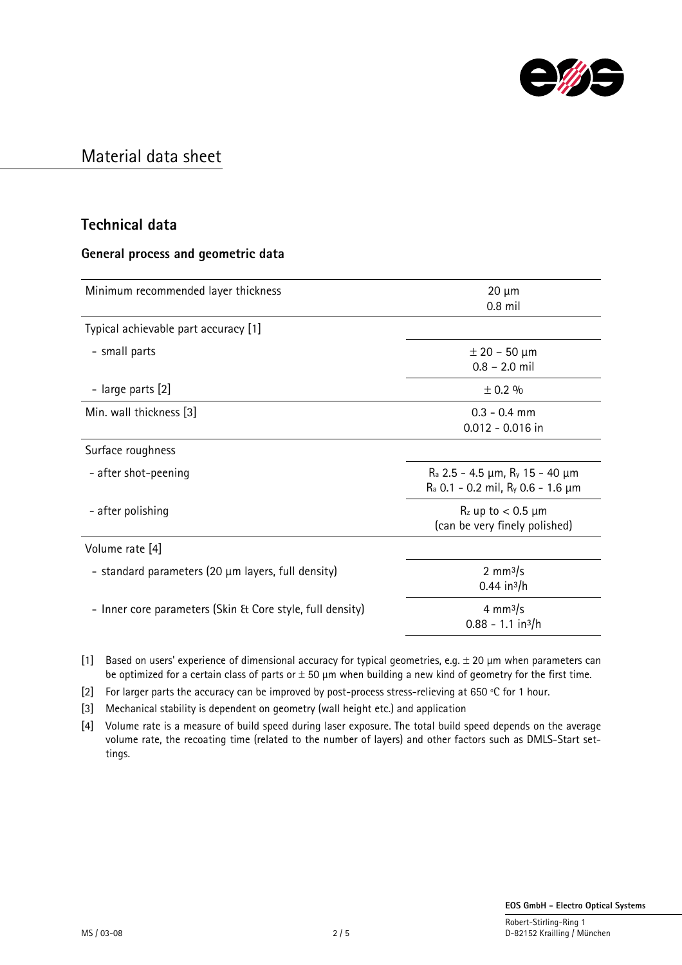

### **Technical data**

#### **General process and geometric data**

| Minimum recommended layer thickness                       | $20 \mu m$<br>$0.8$ mil                                                              |
|-----------------------------------------------------------|--------------------------------------------------------------------------------------|
| Typical achievable part accuracy [1]                      |                                                                                      |
| - small parts                                             | $\pm$ 20 – 50 µm<br>$0.8 - 2.0$ mil                                                  |
| - large parts [2]                                         | ± 0.2 %                                                                              |
| Min. wall thickness [3]                                   | $0.3 - 0.4$ mm<br>$0.012 - 0.016$ in                                                 |
| Surface roughness                                         |                                                                                      |
| - after shot-peening                                      | $R_a$ 2.5 - 4.5 µm, $R_y$ 15 - 40 µm<br>$R_a$ 0.1 - 0.2 mil, $R_y$ 0.6 - 1.6 $\mu$ m |
| - after polishing                                         | $R_z$ up to $< 0.5$ µm<br>(can be very finely polished)                              |
| Volume rate [4]                                           |                                                                                      |
| - standard parameters (20 µm layers, full density)        | 2 mm $3/s$<br>$0.44$ in <sup>3</sup> /h                                              |
| - Inner core parameters (Skin & Core style, full density) | 4 mm $\frac{3}{5}$<br>$0.88 - 1.1$ in <sup>3</sup> /h                                |

[1] Based on users' experience of dimensional accuracy for typical geometries, e.g.  $\pm$  20 µm when parameters can be optimized for a certain class of parts or  $\pm$  50  $\mu$ m when building a new kind of geometry for the first time.

[2] For larger parts the accuracy can be improved by post-process stress-relieving at 650 °C for 1 hour.

[3] Mechanical stability is dependent on geometry (wall height etc.) and application

[4] Volume rate is a measure of build speed during laser exposure. The total build speed depends on the average volume rate, the recoating time (related to the number of layers) and other factors such as DMLS-Start settings.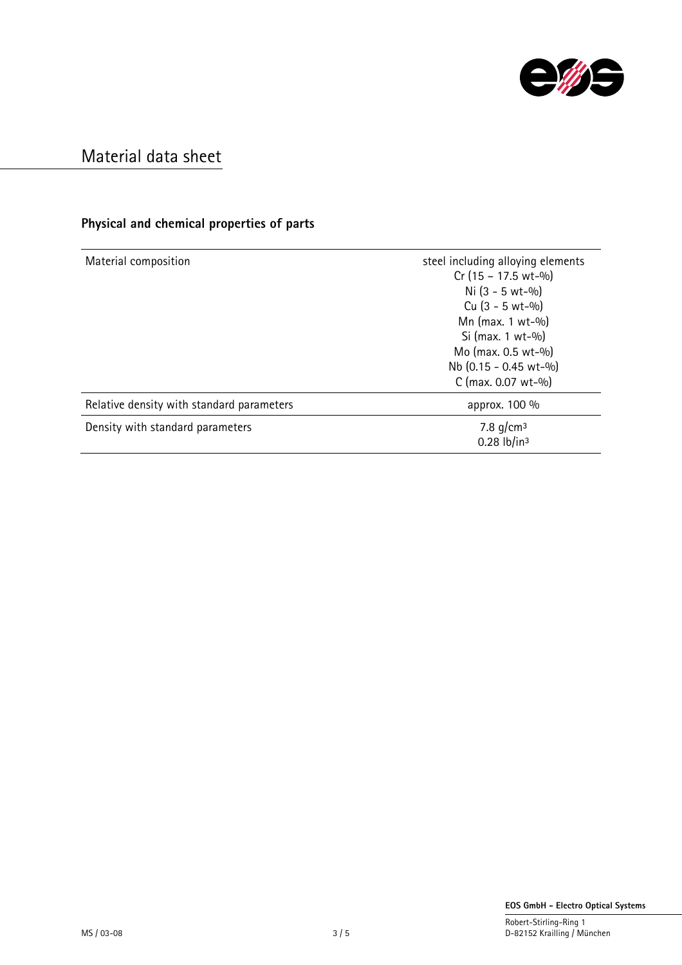

### **Physical and chemical properties of parts**

| Material composition                      | steel including alloying elements<br>$Cr(15 - 17.5 wt-%)$<br>Ni $(3 - 5 wt - 9/0)$<br>Cu $(3 - 5 wt - 9/0)$<br>Mn (max. 1 wt-%)<br>Si (max. $1 wt-$ %)<br>Mo (max. 0.5 wt-%)<br>Nb (0.15 - 0.45 wt-%)<br>C (max. $0.07$ wt- $%$ ) |
|-------------------------------------------|-----------------------------------------------------------------------------------------------------------------------------------------------------------------------------------------------------------------------------------|
| Relative density with standard parameters | approx. 100 %                                                                                                                                                                                                                     |
| Density with standard parameters          | 7.8 $g/cm^3$<br>$0.28$ lb/in <sup>3</sup>                                                                                                                                                                                         |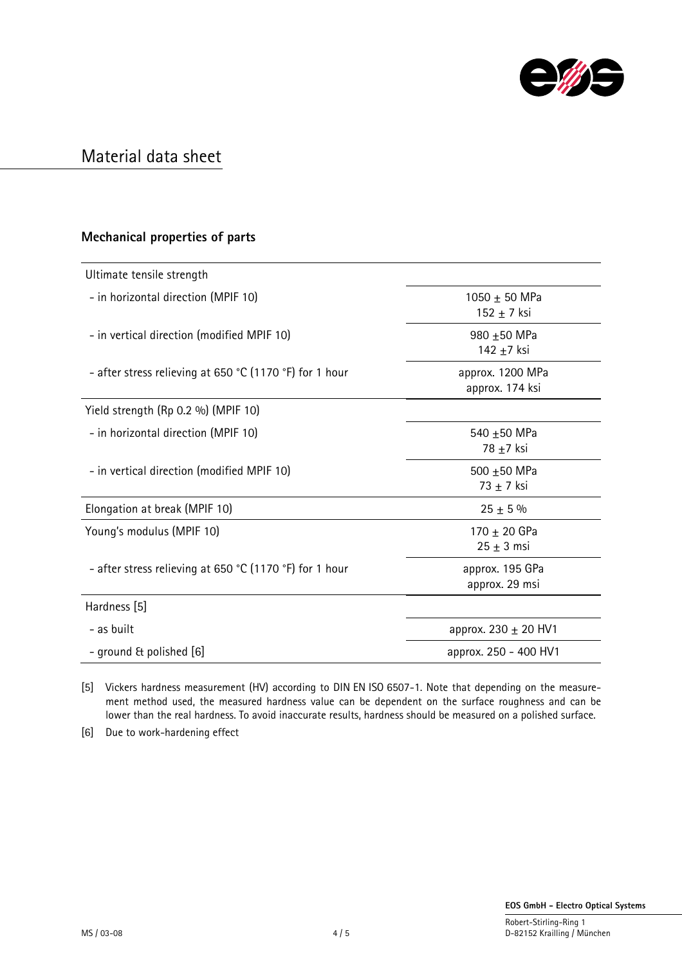

#### **Mechanical properties of parts**

| Ultimate tensile strength                               |                                     |
|---------------------------------------------------------|-------------------------------------|
| - in horizontal direction (MPIF 10)                     | 1050 $\pm$ 50 MPa<br>$152 + 7$ ksi  |
| - in vertical direction (modified MPIF 10)              | 980 ±50 MPa<br>142 ±7 ksi           |
| - after stress relieving at 650 °C (1170 °F) for 1 hour | approx. 1200 MPa<br>approx. 174 ksi |
| Yield strength (Rp 0.2 %) (MPIF 10)                     |                                     |
| - in horizontal direction (MPIF 10)                     | 540 ±50 MPa<br>78 ±7 ksi            |
| - in vertical direction (modified MPIF 10)              | 500 ±50 MPa<br>$73 + 7$ ksi         |
| Elongation at break (MPIF 10)                           | $25 + 5\%$                          |
| Young's modulus (MPIF 10)                               | 170 $\pm$ 20 GPa<br>$25 \pm 3$ msi  |
| - after stress relieving at 650 °C (1170 °F) for 1 hour | approx. 195 GPa<br>approx. 29 msi   |
| Hardness [5]                                            |                                     |
| - as built                                              | approx. 230 $\pm$ 20 HV1            |
| - ground & polished [6]                                 | approx. 250 - 400 HV1               |

[5] Vickers hardness measurement (HV) according to DIN EN ISO 6507-1. Note that depending on the measurement method used, the measured hardness value can be dependent on the surface roughness and can be lower than the real hardness. To avoid inaccurate results, hardness should be measured on a polished surface.

[6] Due to work-hardening effect